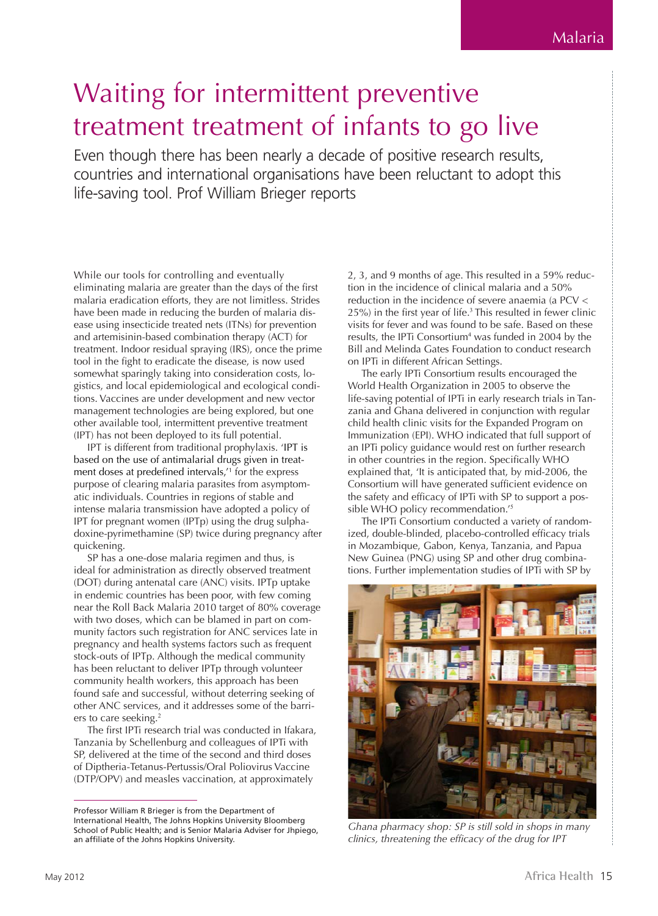## Waiting for intermittent preventive treatment treatment of infants to go live

Even though there has been nearly a decade of positive research results, countries and international organisations have been reluctant to adopt this life-saving tool. Prof William Brieger reports

While our tools for controlling and eventually eliminating malaria are greater than the days of the first malaria eradication efforts, they are not limitless. Strides have been made in reducing the burden of malaria disease using insecticide treated nets (ITNs) for prevention and artemisinin-based combination therapy (ACT) for treatment. Indoor residual spraying (IRS), once the prime tool in the fight to eradicate the disease, is now used somewhat sparingly taking into consideration costs, logistics, and local epidemiological and ecological conditions. Vaccines are under development and new vector management technologies are being explored, but one other available tool, intermittent preventive treatment (IPT) has not been deployed to its full potential.

IPT is different from traditional prophylaxis. 'IPT is based on the use of antimalarial drugs given in treatment doses at predefined intervals,'<sup>1</sup> for the express purpose of clearing malaria parasites from asymptomatic individuals. Countries in regions of stable and intense malaria transmission have adopted a policy of IPT for pregnant women (IPTp) using the drug sulphadoxine-pyrimethamine (SP) twice during pregnancy after quickening.

SP has a one-dose malaria regimen and thus, is ideal for administration as directly observed treatment (DOT) during antenatal care (ANC) visits. IPTp uptake in endemic countries has been poor, with few coming near the Roll Back Malaria 2010 target of 80% coverage with two doses, which can be blamed in part on community factors such registration for ANC services late in pregnancy and health systems factors such as frequent stock-outs of IPTp. Although the medical community has been reluctant to deliver IPTp through volunteer community health workers, this approach has been found safe and successful, without deterring seeking of other ANC services, and it addresses some of the barriers to care seeking.<sup>2</sup>

The first IPTi research trial was conducted in Ifakara, Tanzania by Schellenburg and colleagues of IPTi with SP, delivered at the time of the second and third doses of Diptheria-Tetanus-Pertussis/Oral Poliovirus Vaccine (DTP/OPV) and measles vaccination, at approximately

2, 3, and 9 months of age. This resulted in a 59% reduction in the incidence of clinical malaria and a 50% reduction in the incidence of severe anaemia (a PCV < 25%) in the first year of life.<sup>3</sup> This resulted in fewer clinic visits for fever and was found to be safe. Based on these results, the IPTi Consortium<sup>4</sup> was funded in 2004 by the Bill and Melinda Gates Foundation to conduct research on IPTi in different African Settings.

The early IPTi Consortium results encouraged the World Health Organization in 2005 to observe the life-saving potential of IPTi in early research trials in Tanzania and Ghana delivered in conjunction with regular child health clinic visits for the Expanded Program on Immunization (EPI). WHO indicated that full support of an IPTi policy guidance would rest on further research in other countries in the region. Specifically WHO explained that, 'It is anticipated that, by mid-2006, the Consortium will have generated sufficient evidence on the safety and efficacy of IPTi with SP to support a possible WHO policy recommendation.'<sup>5</sup>

The IPTi Consortium conducted a variety of randomized, double-blinded, placebo-controlled efficacy trials in Mozambique, Gabon, Kenya, Tanzania, and Papua New Guinea (PNG) using SP and other drug combinations. Further implementation studies of IPTi with SP by



*Ghana pharmacy shop: SP is still sold in shops in many clinics, threatening the efficacy of the drug for IPT*

Professor William R Brieger is from the Department of International Health, The Johns Hopkins University Bloomberg School of Public Health; and is Senior Malaria Adviser for Jhpiego, an affiliate of the Johns Hopkins University.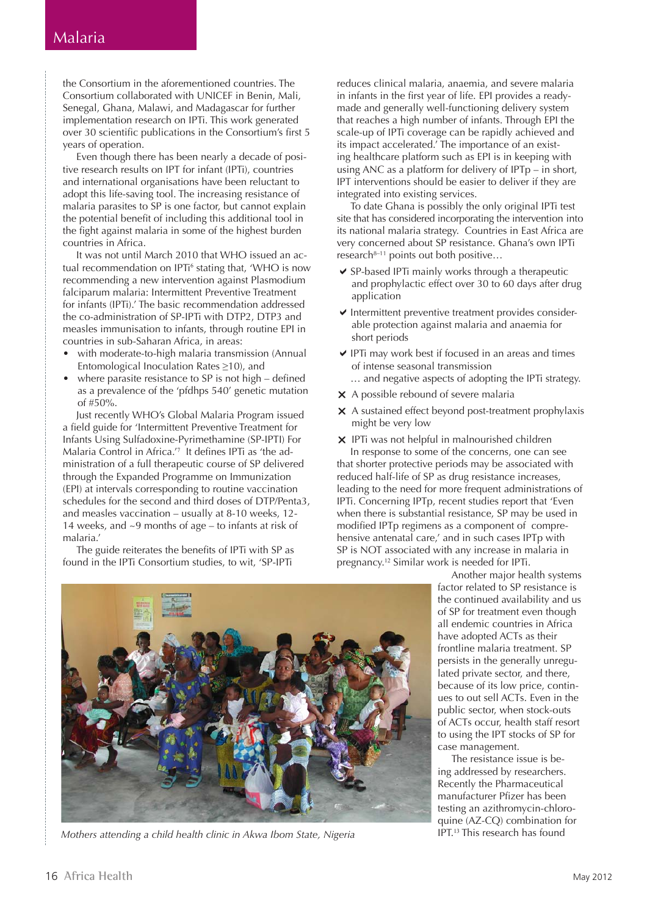the Consortium in the aforementioned countries. The Consortium collaborated with UNICEF in Benin, Mali, Senegal, Ghana, Malawi, and Madagascar for further implementation research on IPTi. This work generated over 30 scientific publications in the Consortium's first 5 years of operation.

Even though there has been nearly a decade of positive research results on IPT for infant (IPTi), countries and international organisations have been reluctant to adopt this life-saving tool. The increasing resistance of malaria parasites to SP is one factor, but cannot explain the potential benefit of including this additional tool in the fight against malaria in some of the highest burden countries in Africa.

It was not until March 2010 that WHO issued an actual recommendation on IPTi<sup>6</sup> stating that, 'WHO is now recommending a new intervention against Plasmodium falciparum malaria: Intermittent Preventive Treatment for infants (IPTi).' The basic recommendation addressed the co-administration of SP-IPTi with DTP2, DTP3 and measles immunisation to infants, through routine EPI in countries in sub-Saharan Africa, in areas:

- with moderate-to-high malaria transmission (Annual Entomological Inoculation Rates ≥10), and
- where parasite resistance to  $SP$  is not high defined as a prevalence of the 'pfdhps 540' genetic mutation of  $#50%$ .

Just recently WHO's Global Malaria Program issued a field guide for 'Intermittent Preventive Treatment for Infants Using Sulfadoxine-Pyrimethamine (SP-IPTI) For Malaria Control in Africa.'<sup>7</sup> It defines IPTi as 'the administration of a full therapeutic course of SP delivered through the Expanded Programme on Immunization (EPI) at intervals corresponding to routine vaccination schedules for the second and third doses of DTP/Penta3, and measles vaccination – usually at 8-10 weeks, 12- 14 weeks, and ~9 months of age – to infants at risk of malaria.'

The guide reiterates the benefits of IPTi with SP as found in the IPTi Consortium studies, to wit, 'SP-IPTi

reduces clinical malaria, anaemia, and severe malaria in infants in the first year of life. EPI provides a readymade and generally well-functioning delivery system that reaches a high number of infants. Through EPI the scale-up of IPTi coverage can be rapidly achieved and its impact accelerated.' The importance of an existing healthcare platform such as EPI is in keeping with using ANC as a platform for delivery of IPTp – in short, IPT interventions should be easier to deliver if they are integrated into existing services.

To date Ghana is possibly the only original IPTi test site that has considered incorporating the intervention into its national malaria strategy. Countries in East Africa are very concerned about SP resistance. Ghana's own IPTi research<sup>8-11</sup> points out both positive...

- $\vee$  SP-based IPTi mainly works through a therapeutic and prophylactic effect over 30 to 60 days after drug application
- $\blacktriangleright$  Intermittent preventive treatment provides considerable protection against malaria and anaemia for short periods
- $\vee$  IPTi may work best if focused in an areas and times of intense seasonal transmission … and negative aspects of adopting the IPTi strategy.
- 
- $\times$  A possible rebound of severe malaria
- **x** A sustained effect beyond post-treatment prophylaxis might be very low
- $\times$  IPTi was not helpful in malnourished children In response to some of the concerns, one can see that shorter protective periods may be associated with reduced half-life of SP as drug resistance increases, leading to the need for more frequent administrations of IPTi. Concerning IPTp, recent studies report that 'Even when there is substantial resistance, SP may be used in modified IPTp regimens as a component of comprehensive antenatal care,' and in such cases IPTp with SP is NOT associated with any increase in malaria in pregnancy.<sup>12</sup> Similar work is needed for IPTi.



Mothers attending a child health clinic in Akwa Ibom State, Nigeria This research has found

Another major health systems factor related to SP resistance is the continued availability and us of SP for treatment even though all endemic countries in Africa have adopted ACTs as their frontline malaria treatment. SP persists in the generally unregulated private sector, and there, because of its low price, continues to out sell ACTs. Even in the public sector, when stock-outs of ACTs occur, health staff resort to using the IPT stocks of SP for case management.

The resistance issue is being addressed by researchers. Recently the Pharmaceutical manufacturer Pfizer has been testing an azithromycin-chloroquine (AZ-CQ) combination for